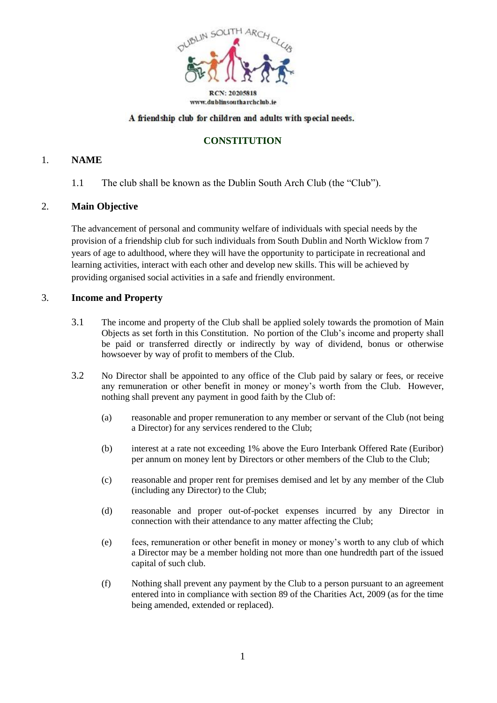

### A friendship club for children and adults with special needs.

# **CONSTITUTION**

## 1. **NAME**

1.1 The club shall be known as the Dublin South Arch Club (the "Club").

### 2. **Main Objective**

The advancement of personal and community welfare of individuals with special needs by the provision of a friendship club for such individuals from South Dublin and North Wicklow from 7 years of age to adulthood, where they will have the opportunity to participate in recreational and learning activities, interact with each other and develop new skills. This will be achieved by providing organised social activities in a safe and friendly environment.

### 3. **Income and Property**

- 3.1 The income and property of the Club shall be applied solely towards the promotion of Main Objects as set forth in this Constitution. No portion of the Club's income and property shall be paid or transferred directly or indirectly by way of dividend, bonus or otherwise howsoever by way of profit to members of the Club.
- 3.2 No Director shall be appointed to any office of the Club paid by salary or fees, or receive any remuneration or other benefit in money or money's worth from the Club. However, nothing shall prevent any payment in good faith by the Club of:
	- (a) reasonable and proper remuneration to any member or servant of the Club (not being a Director) for any services rendered to the Club;
	- (b) interest at a rate not exceeding 1% above the Euro Interbank Offered Rate (Euribor) per annum on money lent by Directors or other members of the Club to the Club;
	- (c) reasonable and proper rent for premises demised and let by any member of the Club (including any Director) to the Club;
	- (d) reasonable and proper out-of-pocket expenses incurred by any Director in connection with their attendance to any matter affecting the Club;
	- (e) fees, remuneration or other benefit in money or money's worth to any club of which a Director may be a member holding not more than one hundredth part of the issued capital of such club.
	- (f) Nothing shall prevent any payment by the Club to a person pursuant to an agreement entered into in compliance with section 89 of the Charities Act, 2009 (as for the time being amended, extended or replaced).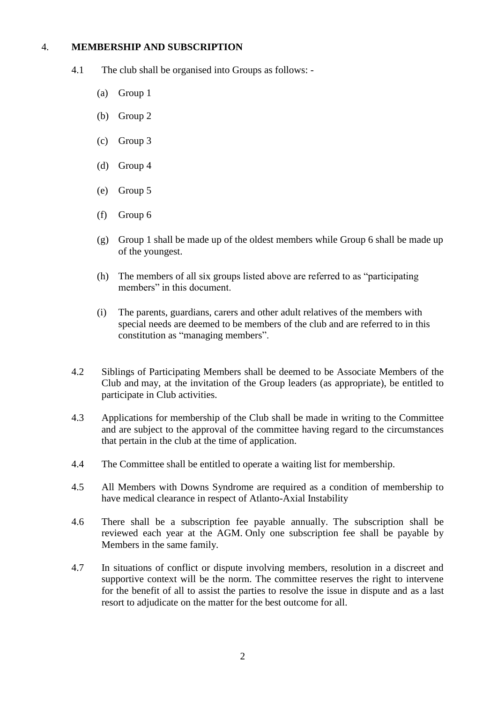# 4. **MEMBERSHIP AND SUBSCRIPTION**

- 4.1 The club shall be organised into Groups as follows:
	- (a) Group 1
	- (b) Group 2
	- (c) Group 3
	- (d) Group 4
	- (e) Group 5
	- (f) Group 6
	- (g) Group 1 shall be made up of the oldest members while Group 6 shall be made up of the youngest.
	- (h) The members of all six groups listed above are referred to as "participating members" in this document.
	- (i) The parents, guardians, carers and other adult relatives of the members with special needs are deemed to be members of the club and are referred to in this constitution as "managing members".
- 4.2 Siblings of Participating Members shall be deemed to be Associate Members of the Club and may, at the invitation of the Group leaders (as appropriate), be entitled to participate in Club activities.
- 4.3 Applications for membership of the Club shall be made in writing to the Committee and are subject to the approval of the committee having regard to the circumstances that pertain in the club at the time of application.
- 4.4 The Committee shall be entitled to operate a waiting list for membership.
- 4.5 All Members with Downs Syndrome are required as a condition of membership to have medical clearance in respect of Atlanto-Axial Instability
- 4.6 There shall be a subscription fee payable annually. The subscription shall be reviewed each year at the AGM. Only one subscription fee shall be payable by Members in the same family.
- 4.7 In situations of conflict or dispute involving members, resolution in a discreet and supportive context will be the norm. The committee reserves the right to intervene for the benefit of all to assist the parties to resolve the issue in dispute and as a last resort to adjudicate on the matter for the best outcome for all.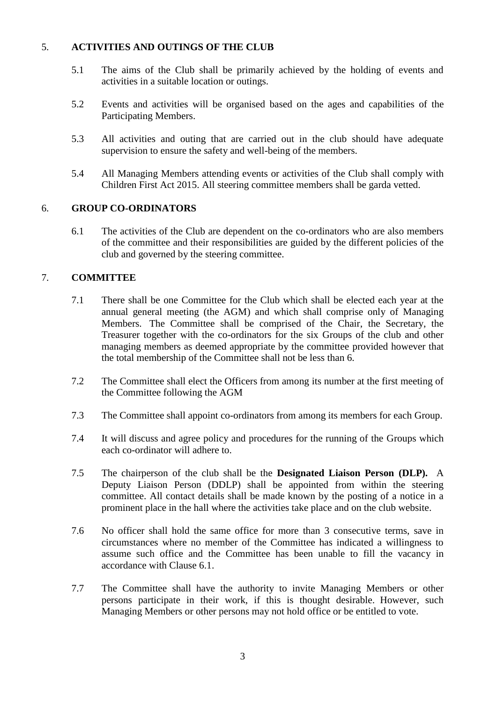# 5. **ACTIVITIES AND OUTINGS OF THE CLUB**

- 5.1 The aims of the Club shall be primarily achieved by the holding of events and activities in a suitable location or outings.
- 5.2 Events and activities will be organised based on the ages and capabilities of the Participating Members.
- 5.3 All activities and outing that are carried out in the club should have adequate supervision to ensure the safety and well-being of the members.
- 5.4 All Managing Members attending events or activities of the Club shall comply with Children First Act 2015. All steering committee members shall be garda vetted.

# 6. **GROUP CO-ORDINATORS**

6.1 The activities of the Club are dependent on the co-ordinators who are also members of the committee and their responsibilities are guided by the different policies of the club and governed by the steering committee.

# 7. **COMMITTEE**

- 7.1 There shall be one Committee for the Club which shall be elected each year at the annual general meeting (the AGM) and which shall comprise only of Managing Members. The Committee shall be comprised of the Chair, the Secretary, the Treasurer together with the co-ordinators for the six Groups of the club and other managing members as deemed appropriate by the committee provided however that the total membership of the Committee shall not be less than 6.
- 7.2 The Committee shall elect the Officers from among its number at the first meeting of the Committee following the AGM
- 7.3 The Committee shall appoint co-ordinators from among its members for each Group.
- 7.4 It will discuss and agree policy and procedures for the running of the Groups which each co-ordinator will adhere to.
- 7.5 The chairperson of the club shall be the **Designated Liaison Person (DLP).** A Deputy Liaison Person (DDLP) shall be appointed from within the steering committee. All contact details shall be made known by the posting of a notice in a prominent place in the hall where the activities take place and on the club website.
- 7.6 No officer shall hold the same office for more than 3 consecutive terms, save in circumstances where no member of the Committee has indicated a willingness to assume such office and the Committee has been unable to fill the vacancy in accordance with Clause 6.1.
- 7.7 The Committee shall have the authority to invite Managing Members or other persons participate in their work, if this is thought desirable. However, such Managing Members or other persons may not hold office or be entitled to vote.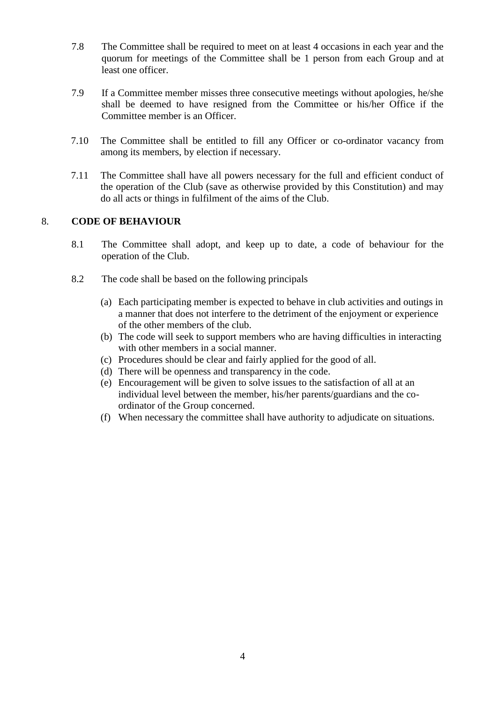- 7.8 The Committee shall be required to meet on at least 4 occasions in each year and the quorum for meetings of the Committee shall be 1 person from each Group and at least one officer.
- 7.9 If a Committee member misses three consecutive meetings without apologies, he/she shall be deemed to have resigned from the Committee or his/her Office if the Committee member is an Officer.
- 7.10 The Committee shall be entitled to fill any Officer or co-ordinator vacancy from among its members, by election if necessary.
- 7.11 The Committee shall have all powers necessary for the full and efficient conduct of the operation of the Club (save as otherwise provided by this Constitution) and may do all acts or things in fulfilment of the aims of the Club.

# 8. **CODE OF BEHAVIOUR**

- 8.1 The Committee shall adopt, and keep up to date, a code of behaviour for the operation of the Club.
- 8.2 The code shall be based on the following principals
	- (a) Each participating member is expected to behave in club activities and outings in a manner that does not interfere to the detriment of the enjoyment or experience of the other members of the club.
	- (b) The code will seek to support members who are having difficulties in interacting with other members in a social manner.
	- (c) Procedures should be clear and fairly applied for the good of all.
	- (d) There will be openness and transparency in the code.
	- (e) Encouragement will be given to solve issues to the satisfaction of all at an individual level between the member, his/her parents/guardians and the coordinator of the Group concerned.
	- (f) When necessary the committee shall have authority to adjudicate on situations.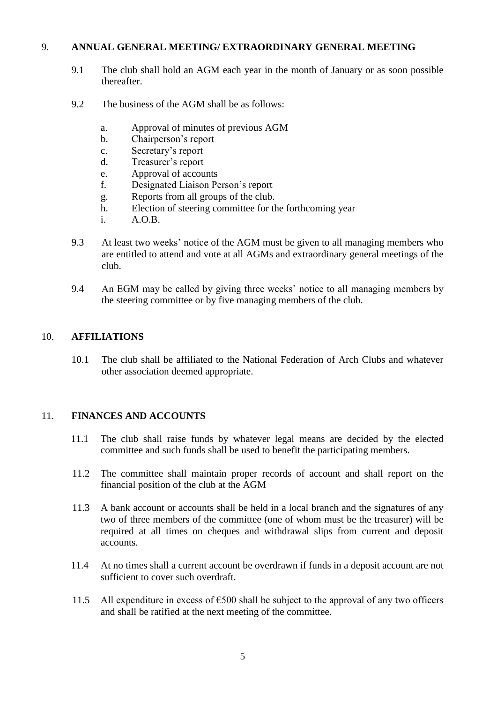## 9. **ANNUAL GENERAL MEETING/ EXTRAORDINARY GENERAL MEETING**

- 9.1 The club shall hold an AGM each year in the month of January or as soon possible thereafter.
- 9.2 The business of the AGM shall be as follows:
	- a. Approval of minutes of previous AGM
	- b. Chairperson's report
	- c. Secretary's report
	- d. Treasurer's report
	- e. Approval of accounts
	- f. Designated Liaison Person's report
	- g. Reports from all groups of the club.
	- h. Election of steering committee for the forthcoming year
	- i. A.O.B.
- 9.3 At least two weeks' notice of the AGM must be given to all managing members who are entitled to attend and vote at all AGMs and extraordinary general meetings of the club.
- 9.4 An EGM may be called by giving three weeks' notice to all managing members by the steering committee or by five managing members of the club.

## 10. **AFFILIATIONS**

10.1 The club shall be affiliated to the National Federation of Arch Clubs and whatever other association deemed appropriate.

### 11. **FINANCES AND ACCOUNTS**

- 11.1 The club shall raise funds by whatever legal means are decided by the elected committee and such funds shall be used to benefit the participating members.
- 11.2 The committee shall maintain proper records of account and shall report on the financial position of the club at the AGM
- 11.3 A bank account or accounts shall be held in a local branch and the signatures of any two of three members of the committee (one of whom must be the treasurer) will be required at all times on cheques and withdrawal slips from current and deposit accounts.
- 11.4 At no times shall a current account be overdrawn if funds in a deposit account are not sufficient to cover such overdraft.
- 11.5 All expenditure in excess of  $\epsilon$ 500 shall be subject to the approval of any two officers and shall be ratified at the next meeting of the committee.